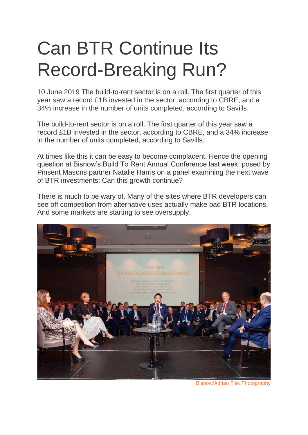## Can BTR Continue Its Record-Breaking Run?

10 June 2019 The build-to-rent sector is on a roll. The first quarter of this year saw a record £1B invested in the sector, according to CBRE, and a 34% increase in the number of units completed, according to Savills.

The build-to-rent sector is on a roll. The first quarter of this year saw a record £1B invested in the sector, according to CBRE, and a 34% increase in the number of units completed, according to Savills.

At times like this it can be easy to become complacent. Hence the opening question at Bisnow's Build To Rent Annual Conference last week, posed by Pinsent Masons partner Natalie Harris on a panel examining the next wave of BTR investments: Can this growth continue?

There is much to be wary of. Many of the sites where BTR developers can see off competition from alternative uses actually make bad BTR locations. And some markets are starting to see oversupply.



Bisnow/Adrian Fisk Photography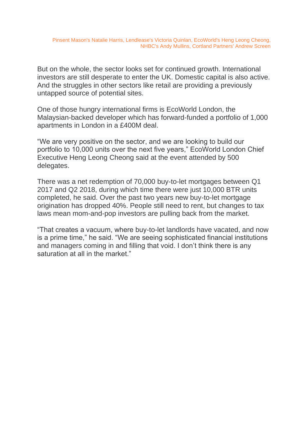But on the whole, the sector looks set for continued growth. International investors are still desperate to enter the UK. Domestic capital is also active. And the struggles in other sectors like retail are providing a previously untapped source of potential sites.

One of those hungry international firms is EcoWorld London, the Malaysian-backed developer which has forward-funded a portfolio of 1,000 apartments in London in a £400M deal.

"We are very positive on the sector, and we are looking to build our portfolio to 10,000 units over the next five years," EcoWorld London Chief Executive Heng Leong Cheong said at the event attended by 500 delegates.

There was a net redemption of 70,000 buy-to-let mortgages between Q1 2017 and Q2 2018, during which time there were just 10,000 BTR units completed, he said. Over the past two years new buy-to-let mortgage origination has dropped 40%. People still need to rent, but changes to tax laws mean mom-and-pop investors are pulling back from the market.

"That creates a vacuum, where buy-to-let landlords have vacated, and now is a prime time," he said. "We are seeing sophisticated financial institutions and managers coming in and filling that void. I don't think there is any saturation at all in the market."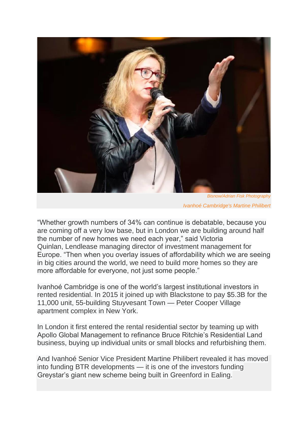

*Bisnow/Adrian Fisk Photography Ivanhoé Cambridge's Martine Philibert*

"Whether growth numbers of 34% can continue is debatable, because you are coming off a very low base, but in London we are building around half the number of new homes we need each year," said Victoria Quinlan, Lendlease managing director of investment management for Europe. "Then when you overlay issues of affordability which we are seeing in big cities around the world, we need to build more homes so they are more affordable for everyone, not just some people."

Ivanhoé Cambridge is one of the world's largest institutional investors in rented residential. In 2015 it joined up with Blackstone to pay \$5.3B for the 11,000 unit, 55-building Stuyvesant Town — Peter Cooper Village apartment complex in New York.

In London it first entered the rental residential sector by teaming up with Apollo Global Management to refinance Bruce Ritchie's Residential Land business, buying up individual units or small blocks and refurbishing them.

And Ivanhoé Senior Vice President Martine Philibert revealed it has moved into funding BTR developments — it is one of the investors funding Greystar's giant new scheme being built in Greenford in Ealing.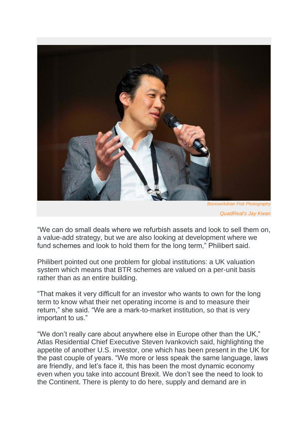

*QuadReal's Jay Kwan*

"We can do small deals where we refurbish assets and look to sell them on, a value-add strategy, but we are also looking at development where we fund schemes and look to hold them for the long term," Philibert said.

Philibert pointed out one problem for global institutions: a UK valuation system which means that BTR schemes are valued on a per-unit basis rather than as an entire building.

"That makes it very difficult for an investor who wants to own for the long term to know what their net operating income is and to measure their return," she said. "We are a mark-to-market institution, so that is very important to us."

"We don't really care about anywhere else in Europe other than the UK," Atlas Residential Chief Executive Steven Ivankovich said, highlighting the appetite of another U.S. investor, one which has been present in the UK for the past couple of years. "We more or less speak the same language, laws are friendly, and let's face it, this has been the most dynamic economy even when you take into account Brexit. We don't see the need to look to the Continent. There is plenty to do here, supply and demand are in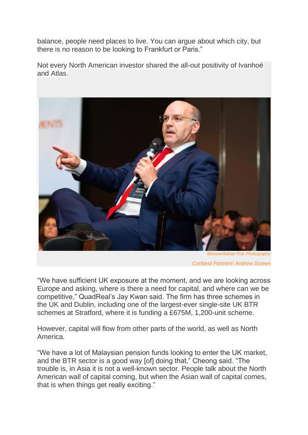balance, people need places to live. You can argue about which city, but there is no reason to be looking to Frankfurt or Paris."

Not every North American investor shared the all-out positivity of Ivanhoé and Atlas.



*Bisnow/Adrian Fisk Photography Cortland Partners' Andrew Screen*

"We have sufficient UK exposure at the moment, and we are looking across Europe and asking, where is there a need for capital, and where can we be competitive," QuadReal's Jay Kwan said. The firm has three schemes in the UK and Dublin, including one of the largest-ever single-site UK BTR schemes at Stratford, where it is funding a £675M, 1,200-unit scheme.

However, capital will flow from other parts of the world, as well as North America.

"We have a lot of Malaysian pension funds looking to enter the UK market, and the BTR sector is a good way [of] doing that," Cheong said. "The trouble is, in Asia it is not a well-known sector. People talk about the North American wall of capital coming, but when the Asian wall of capital comes, that is when things get really exciting."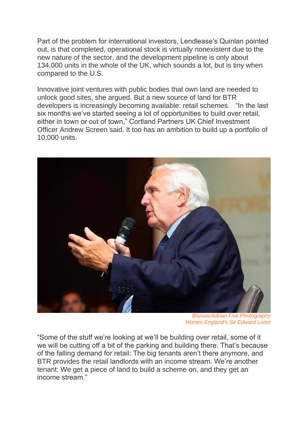Part of the problem for international investors, Lendlease's Quinlan pointed out, is that completed, operational stock is virtually nonexistent due to the new nature of the sector, and the development pipeline is only about 134,000 units in the whole of the UK, which sounds a lot, but is tiny when compared to the U.S.

Innovative joint ventures with public bodies that own land are needed to unlock good sites, she argued. But a new source of land for BTR developers is increasingly becoming available: retail schemes. "In the last six months we've started seeing a lot of opportunities to build over retail, either in town or out of town," Cortland Partners UK Chief Investment Officer Andrew Screen said. It too has an ambition to build up a portfolio of 10,000 units.



*Bisnow/Adrian Fisk Photography Homes England's Sir Edward Lister*

"Some of the stuff we're looking at we'll be building over retail, some of it we will be cutting off a bit of the parking and building there. That's because of the falling demand for retail: The big tenants aren't there anymore, and BTR provides the retail landlords with an income stream. We're another tenant: We get a piece of land to build a scheme on, and they get an income stream."